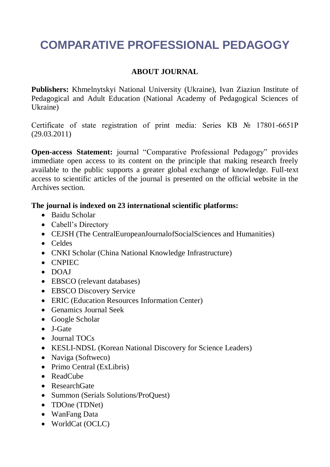## **COMPARATIVE PROFESSIONAL PEDAGOGY**

## **ABOUT JOURNAL**

**Publishers:** Khmelnytskyi National University (Ukraine), Ivan Ziaziun Institute of Pedagogical and Adult Education (National Academy of Pedagogical Sciences of Ukraine)

Certificate of state registration of print media: Series КВ № 17801-6651Р (29.03.2011)

**Open-access Statement:** journal "Comparative Professional Pedagogy" provides immediate open access to its content on the principle that making research freely available to the public supports a greater global exchange of knowledge. Full-text access to scientific articles of the journal is presented on the official website in the Archives section.

## **The journal is indexed on 23 international scientific platforms:**

- Baidu Scholar
- Cabell's Directory
- CEJSH (The CentralEuropeanJournalofSocialSciences and Humanities)
- Celdes
- CNKI Scholar (China National Knowledge Infrastructure)
- CNPIEC
- $\bullet$  DOAJ
- EBSCO (relevant databases)
- EBSCO Discovery Service
- ERIC (Education Resources Information Center)
- Genamics Journal Seek
- Google Scholar
- J-Gate
- Journal TOCs
- KESLI-NDSL (Korean National Discovery for Science Leaders)
- Naviga (Softweco)
- Primo Central (ExLibris)
- ReadCube
- ResearchGate
- Summon (Serials Solutions/ProQuest)
- TDOne (TDNet)
- WanFang Data
- WorldCat (OCLC)